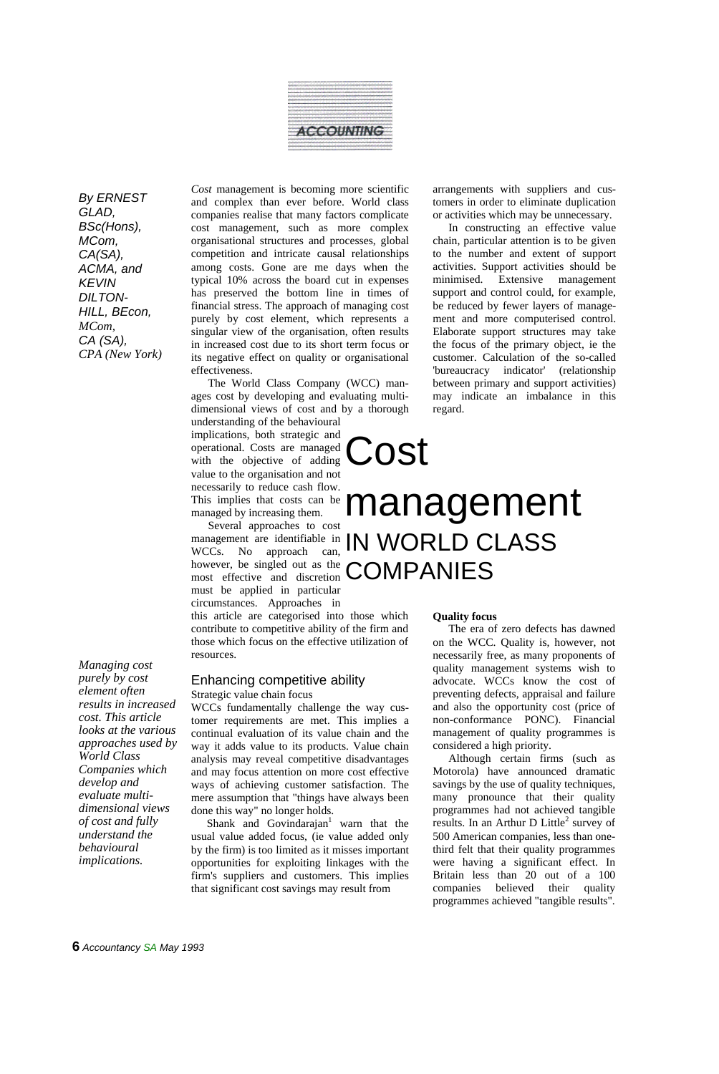

*By ERNEST GLAD, BSc(Hons), MCom, CA(SA), ACMA, and KEVIN DILTON-HILL, BEcon, MCom, CA (SA), CPA (New York)*

*purely by cost element often results in increased cost. This article looks at the various approaches used by World Class Companies which develop and evaluate multidimensional views of cost and fully understand the behavioural implications.*

*Managing cost* 

*Cost* management is becoming more scientific and complex than ever before. World class companies realise that many factors complicate cost management, such as more complex organisational structures and processes, global competition and intricate causal relationships among costs. Gone are me days when the typical 10% across the board cut in expenses has preserved the bottom line in times of financial stress. The approach of managing cost purely by cost element, which represents a singular view of the organisation, often results in increased cost due to its short term focus or its negative effect on quality or organisational effectiveness.

The World Class Company (WCC) manages cost by developing and evaluating multidimensional views of cost and by a thorough

understanding of the behavioural implications, both strategic and operational. Costs are managed with the objective of adding value to the organisation and not necessarily to reduce cash flow. This implies that costs can be managed by increasing them.

Several approaches to cost management are identifiable in however, be singled out as the however, be singled out as the **COMPANIES** must be applied in particular circumstances. Approaches in

this article are categorised into those which contribute to competitive ability of the firm and those which focus on the effective utilization of resources.

#### Enhancing competitive ability Strategic value chain focus

WCCs fundamentally challenge the way customer requirements are met. This implies a continual evaluation of its value chain and the way it adds value to its products. Value chain analysis may reveal competitive disadvantages and may focus attention on more cost effective ways of achieving customer satisfaction. The mere assumption that "things have always been done this way" no longer holds.

Shank and Govindarajan<sup>1</sup> warn that the usual value added focus, (ie value added only by the firm) is too limited as it misses important opportunities for exploiting linkages with the firm's suppliers and customers. This implies that significant cost savings may result from

arrangements with suppliers and customers in order to eliminate duplication or activities which may be unnecessary.

In constructing an effective value chain, particular attention is to be given to the number and extent of support activities. Support activities should be minimised. Extensive management support and control could, for example, be reduced by fewer layers of management and more computerised control. Elaborate support structures may take the focus of the primary object, ie the customer. Calculation of the so-called 'bureaucracy indicator' (relationship between primary and support activities) may indicate an imbalance in this regard.

# management are identifiable in **IN WORLD CLASS** management

Cost

#### **Quality focus**

The era of zero defects has dawned on the WCC. Quality is, however, not necessarily free, as many proponents of quality management systems wish to advocate. WCCs know the cost of preventing defects, appraisal and failure and also the opportunity cost (price of non-conformance PONC). Financial management of quality programmes is considered a high priority.

Although certain firms (such as Motorola) have announced dramatic savings by the use of quality techniques, many pronounce that their quality programmes had not achieved tangible results. In an Arthur D Little<sup>2</sup> survey of 500 American companies, less than onethird felt that their quality programmes were having a significant effect. In Britain less than 20 out of a 100 companies believed their quality programmes achieved "tangible results".

**6** *Accountancy SA May 1993*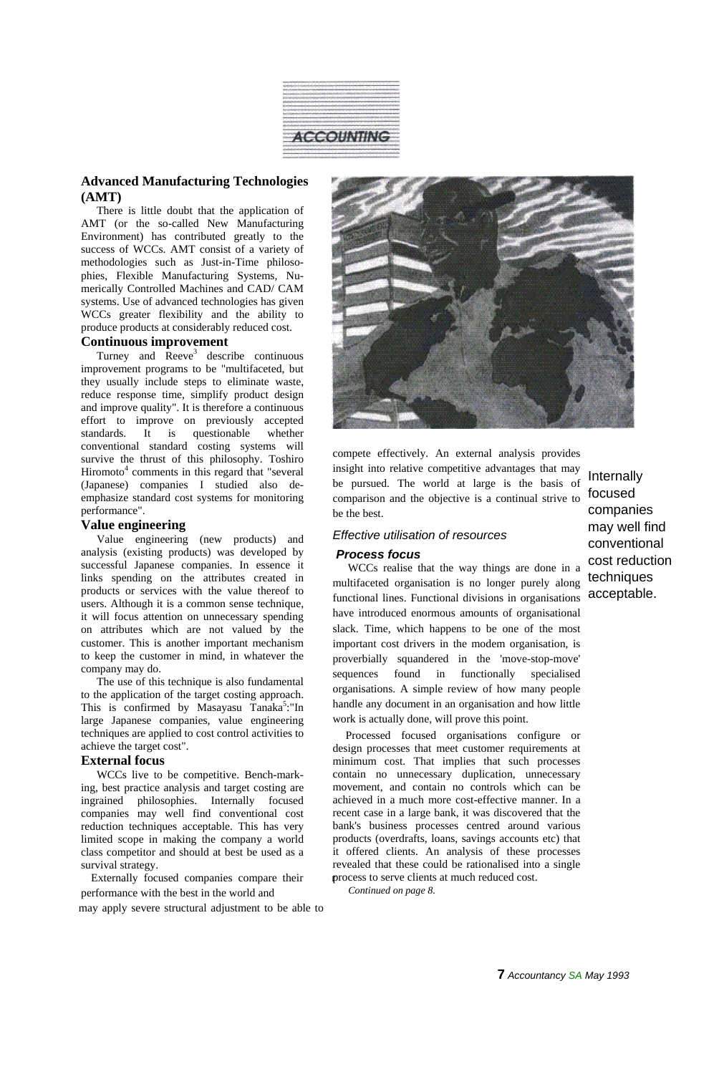

# **Advanced Manufacturing Technologies (AMT)**

There is little doubt that the application of AMT (or the so-called New Manufacturing Environment) has contributed greatly to the success of WCCs. AMT consist of a variety of methodologies such as Just-in-Time philosophies, Flexible Manufacturing Systems, Numerically Controlled Machines and CAD/ CAM systems. Use of advanced technologies has given WCCs greater flexibility and the ability to produce products at considerably reduced cost.

# **Continuous improvement**

Turney and  $\overline{Re}$ eve<sup>3</sup> describe continuous improvement programs to be "multifaceted, but they usually include steps to eliminate waste, reduce response time, simplify product design and improve quality". It is therefore a continuous effort to improve on previously accepted standards. It is questionable whether conventional standard costing systems will survive the thrust of this philosophy. Toshiro Hiromoto<sup>4</sup> comments in this regard that "several (Japanese) companies I studied also deemphasize standard cost systems for monitoring performance".

## **Value engineering**

Value engineering (new products) and analysis (existing products) was developed by successful Japanese companies. In essence it links spending on the attributes created in products or services with the value thereof to users. Although it is a common sense technique, it will focus attention on unnecessary spending on attributes which are not valued by the customer. This is another important mechanism to keep the customer in mind, in whatever the company may do.

The use of this technique is also fundamental to the application of the target costing approach. This is confirmed by Masayasu Tanaka<sup>5</sup>:"In large Japanese companies, value engineering techniques are applied to cost control activities to achieve the target cost".

# **External focus**

WCCs live to be competitive. Bench-marking, best practice analysis and target costing are ingrained philosophies. Internally focused companies may well find conventional cost reduction techniques acceptable. This has very limited scope in making the company a world class competitor and should at best be used as a survival strategy.

Externally focused companies compare their performance with the best in the world and

may apply severe structural adjustment to be able to



compete effectively. An external analysis provides insight into relative competitive advantages that may be pursued. The world at large is the basis of comparison and the objective is a continual strive to be the best.

## *Effective utilisation of resources*

#### *Process focus*

WCCs realise that the way things are done in a multifaceted organisation is no longer purely along functional lines. Functional divisions in organisations acceptable. have introduced enormous amounts of organisational slack. Time, which happens to be one of the most important cost drivers in the modem organisation, is proverbially squandered in the 'move-stop-move' sequences found in functionally specialised organisations. A simple review of how many people handle any document in an organisation and how little work is actually done, will prove this point.

process to serve clients at much reduced cost. Processed focused organisations configure or design processes that meet customer requirements at minimum cost. That implies that such processes contain no unnecessary duplication, unnecessary movement, and contain no controls which can be achieved in a much more cost-effective manner. In a recent case in a large bank, it was discovered that the bank's business processes centred around various products (overdrafts, loans, savings accounts etc) that it offered clients. An analysis of these processes revealed that these could be rationalised into a single

 *Continued on page 8.*

Internally focused companies may well find conventional cost reduction techniques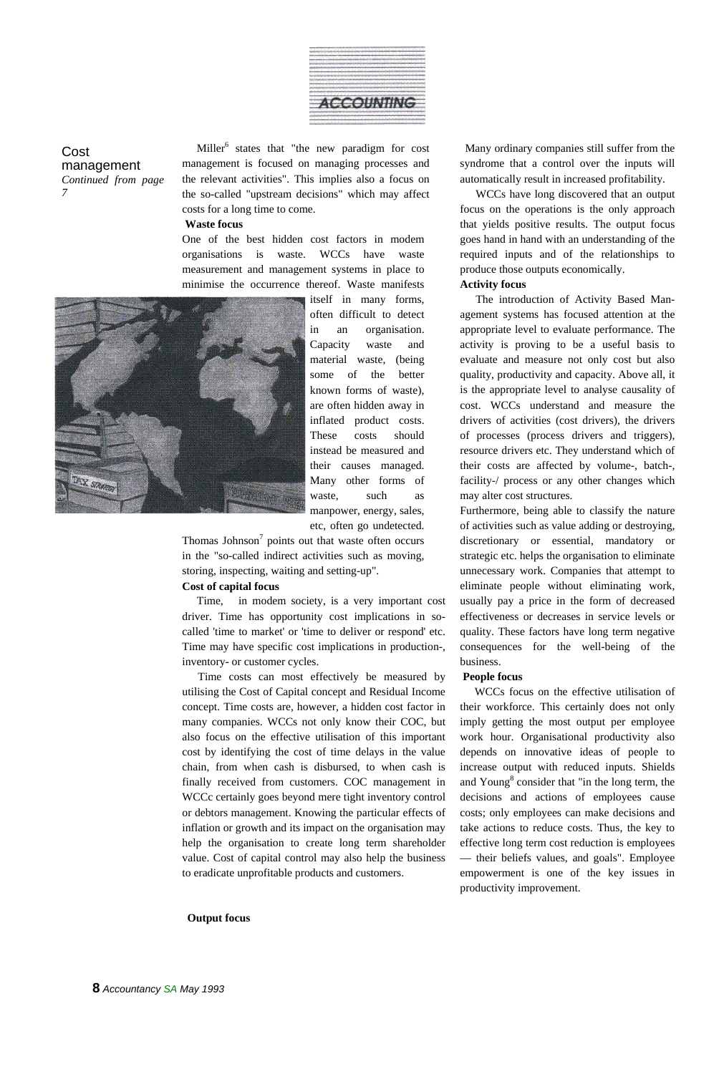

Cost management *Continued from page*

Miller<sup>6</sup> states that "the new paradigm for cost management is focused on managing processes and the relevant activities". This implies also a focus on the so-called "upstream decisions" which may affect *7* WCCs have long discovered that an output costs for a long time to come.

#### **Waste focus**

One of the best hidden cost factors in modem organisations is waste. WCCs have waste measurement and management systems in place to minimise the occurrence thereof. Waste manifests



itself in many forms, often difficult to detect in an organisation. Capacity waste and material waste, (being some of the better known forms of waste), are often hidden away in inflated product costs. These costs should instead be measured and their causes managed. Many other forms of waste, such as manpower, energy, sales, etc, often go undetected.

Thomas Johnson $<sup>7</sup>$  points out that waste often occurs</sup> in the "so-called indirect activities such as moving, storing, inspecting, waiting and setting-up".

### **Cost of capital focus**

Time, in modem society, is a very important cost driver. Time has opportunity cost implications in socalled 'time to market' or 'time to deliver or respond' etc. Time may have specific cost implications in production-, inventory- or customer cycles.

Time costs can most effectively be measured by utilising the Cost of Capital concept and Residual Income concept. Time costs are, however, a hidden cost factor in many companies. WCCs not only know their COC, but also focus on the effective utilisation of this important cost by identifying the cost of time delays in the value chain, from when cash is disbursed, to when cash is finally received from customers. COC management in WCCc certainly goes beyond mere tight inventory control or debtors management. Knowing the particular effects of inflation or growth and its impact on the organisation may help the organisation to create long term shareholder value. Cost of capital control may also help the business to eradicate unprofitable products and customers.

#### **Output focus**

Many ordinary companies still suffer from the syndrome that a control over the inputs will automatically result in increased profitability.

focus on the operations is the only approach that yields positive results. The output focus goes hand in hand with an understanding of the required inputs and of the relationships to produce those outputs economically.

#### **Activity focus**

The introduction of Activity Based Management systems has focused attention at the appropriate level to evaluate performance. The activity is proving to be a useful basis to evaluate and measure not only cost but also quality, productivity and capacity. Above all, it is the appropriate level to analyse causality of cost. WCCs understand and measure the drivers of activities (cost drivers), the drivers of processes (process drivers and triggers), resource drivers etc. They understand which of their costs are affected by volume-, batch-, facility-/ process or any other changes which may alter cost structures.

Furthermore, being able to classify the nature of activities such as value adding or destroying, discretionary or essential, mandatory or strategic etc. helps the organisation to eliminate unnecessary work. Companies that attempt to eliminate people without eliminating work, usually pay a price in the form of decreased effectiveness or decreases in service levels or quality. These factors have long term negative consequences for the well-being of the business.

#### **People focus**

WCCs focus on the effective utilisation of their workforce. This certainly does not only imply getting the most output per employee work hour. Organisational productivity also depends on innovative ideas of people to increase output with reduced inputs. Shields and Young<sup>8</sup> consider that "in the long term, the decisions and actions of employees cause costs; only employees can make decisions and take actions to reduce costs. Thus, the key to effective long term cost reduction is employees — their beliefs values, and goals". Employee empowerment is one of the key issues in productivity improvement.